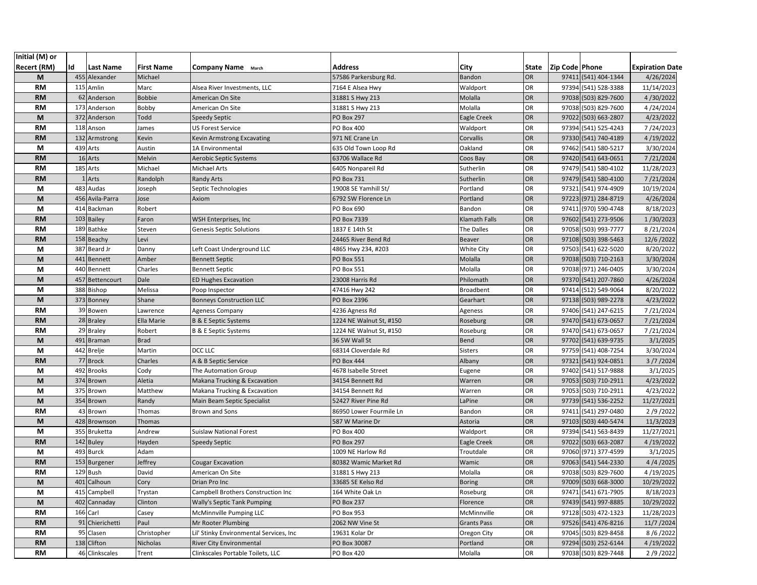| Initial (M) or     |    |                  |                   |                                         |                         |                    |       |                |                      |                        |
|--------------------|----|------------------|-------------------|-----------------------------------------|-------------------------|--------------------|-------|----------------|----------------------|------------------------|
| <b>Recert (RM)</b> | Id | <b>Last Name</b> | <b>First Name</b> | <b>Company Name</b> March               | <b>Address</b>          | <b>City</b>        | State | Zip Code Phone |                      | <b>Expiration Date</b> |
| M                  |    | 455 Alexander    | Michael           |                                         | 57586 Parkersburg Rd.   | Bandon             | OR    |                | 97411 (541) 404-1344 | 4/26/2024              |
| <b>RM</b>          |    | 115 Amlin        | Marc              | Alsea River Investments, LLC            | 7164 E Alsea Hwy        | Waldport           | OR    |                | 97394 (541) 528-3388 | 11/14/2023             |
| <b>RM</b>          |    | 62 Anderson      | <b>Bobbie</b>     | American On Site                        | 31881 S Hwy 213         | Molalla            | OR    |                | 97038 (503) 829-7600 | 4/30/2022              |
| <b>RM</b>          |    | 173 Anderson     | Bobby             | American On Site                        | 31881 S Hwy 213         | Molalla            | OR    |                | 97038 (503) 829-7600 | 4/24/2024              |
| M                  |    | 372 Anderson     | Todd              | <b>Speedy Septic</b>                    | <b>PO Box 297</b>       | Eagle Creek        | OR    |                | 97022 (503) 663-2807 | 4/23/2022              |
| <b>RM</b>          |    | 118 Anson        | James             | <b>US Forest Service</b>                | PO Box 400              | Waldport           | OR    |                | 97394 (541) 525-4243 | 7/24/2023              |
| <b>RM</b>          |    | 132 Armstrong    | Kevin             | <b>Kevin Armstrong Excavating</b>       | 971 NE Crane Ln         | Corvallis          | OR    |                | 97330 (541) 740-4189 | 4/19/2022              |
| М                  |    | 439 Arts         | Austin            | 1A Environmental                        | 635 Old Town Loop Rd    | Oakland            | OR    |                | 97462 (541) 580-5217 | 3/30/2024              |
| <b>RM</b>          |    | 16 Arts          | Melvin            | <b>Aerobic Septic Systems</b>           | 63706 Wallace Rd        | Coos Bay           | OR    |                | 97420 (541) 643-0651 | 7/21/2024              |
| <b>RM</b>          |    | 185 Arts         | Michael           | <b>Michael Arts</b>                     | 6405 Nonpareil Rd       | Sutherlin          | OR    |                | 97479 (541) 580-4102 | 11/28/2023             |
| <b>RM</b>          |    | 1 Arts           | Randolph          | <b>Randy Arts</b>                       | PO Box 731              | Sutherlin          | OR    |                | 97479 (541) 580-4100 | 7/21/2024              |
| M                  |    | 483 Audas        | Joseph            | Septic Technologies                     | 19008 SE Yamhill St/    | Portland           | OR    |                | 97321 (541) 974-4909 | 10/19/2024             |
| M                  |    | 456 Avila-Parra  | Jose              | Axiom                                   | 6792 SW Florence Ln     | Portland           | OR    |                | 97223 (971) 284-8719 | 4/26/2024              |
| M                  |    | 414 Backman      | Robert            |                                         | PO Box 690              | Bandon             | OR    |                | 97411 (970) 590-4748 | 8/18/2023              |
| <b>RM</b>          |    | 103 Bailey       | Faron             | WSH Enterprises, Inc.                   | PO Box 7339             | Klamath Falls      | OR    |                | 97602 (541) 273-9506 | 1/30/2023              |
| <b>RM</b>          |    | 189 Bathke       | Steven            | <b>Genesis Septic Solutions</b>         | 1837 E 14th St          | The Dalles         | OR    |                | 97058 (503) 993-7777 | 8/21/2024              |
| <b>RM</b>          |    | 158 Beachy       | Levi              |                                         | 24465 River Bend Rd     | <b>Beaver</b>      | OR    |                | 97108 (503) 398-5463 | 12/6/2022              |
| М                  |    | 387 Beard Jr     | Danny             | Left Coast Underground LLC              | 4865 Hwy 234, #203      | <b>White City</b>  | OR    |                | 97503 (541) 622-5020 | 8/20/2022              |
| M                  |    | 441 Bennett      | Amber             | <b>Bennett Septic</b>                   | <b>PO Box 551</b>       | Molalla            | OR    |                | 97038 (503) 710-2163 | 3/30/2024              |
| M                  |    | 440 Bennett      | Charles           | <b>Bennett Septic</b>                   | PO Box 551              | Molalla            | OR    |                | 97038 (971) 246-0405 | 3/30/2024              |
| M                  |    | 457 Bettencourt  | Dale              | <b>ED Hughes Excavation</b>             | 23008 Harris Rd         | Philomath          | OR    |                | 97370 (541) 207-7860 | 4/26/2024              |
| М                  |    | 388 Bishop       | Melissa           | Poop Inspector                          | 47416 Hwy 242           | <b>Broadbent</b>   | OR    |                | 97414 (512) 549-9064 | 8/20/2022              |
| M                  |    | 373 Bonney       | Shane             | <b>Bonneys Construction LLC</b>         | PO Box 2396             | Gearhart           | OR    |                | 97138 (503) 989-2278 | 4/23/2022              |
| <b>RM</b>          |    | 39 Bowen         | Lawrence          | <b>Ageness Company</b>                  | 4236 Agness Rd          | Ageness            | OR    |                | 97406 (541) 247-6215 | 7/21/2024              |
| <b>RM</b>          |    | 28 Braley        | Ella Marie        | B & E Septic Systems                    | 1224 NE Walnut St, #150 | Roseburg           | OR    |                | 97470 (541) 673-0657 | 7/21/2024              |
| <b>RM</b>          |    | 29 Braley        | Robert            | B & E Septic Systems                    | 1224 NE Walnut St, #150 | Roseburg           | OR    |                | 97470 (541) 673-0657 | 7/21/2024              |
| M                  |    | 491 Braman       | <b>Brad</b>       |                                         | 36 SW Wall St           | <b>Bend</b>        | OR    |                | 97702 (541) 639-9735 | 3/1/2025               |
| M                  |    | 442 Brelje       | Martin            | DCC LLC                                 | 68314 Cloverdale Rd     | Sisters            | OR    |                | 97759 (541) 408-7254 | 3/30/2024              |
| <b>RM</b>          |    | 77 Brock         | Charles           | A & B Septic Service                    | PO Box 444              | Albany             | OR    |                | 97321 (541) 924-0851 | 3/7/2024               |
| М                  |    | 492 Brooks       | Cody              | The Automation Group                    | 4678 Isabelle Street    | Eugene             | OR    |                | 97402 (541) 517-9888 | 3/1/2025               |
| M                  |    | 374 Brown        | Aletia            | Makana Trucking & Excavation            | 34154 Bennett Rd        | Warren             | OR    |                | 97053 (503) 710-2911 | 4/23/2022              |
| М                  |    | 375 Brown        | Matthew           | Makana Trucking & Excavation            | 34154 Bennett Rd        | Warren             | OR    |                | 97053 (503) 710-2911 | 4/23/2022              |
| M                  |    | 354 Brown        | Randy             | Main Beam Septic Specialist             | 52427 River Pine Rd     | LaPine             | OR    |                | 97739 (541) 536-2252 | 11/27/2021             |
| <b>RM</b>          |    | 43 Brown         | Thomas            | Brown and Sons                          | 86950 Lower Fourmile Ln | Bandon             | OR    |                | 97411 (541) 297-0480 | 2/9/2022               |
| M                  |    | 428 Brownson     | Thomas            |                                         | 587 W Marine Dr         | Astoria            | OR    |                | 97103 (503) 440-5474 | 11/3/2023              |
| М                  |    | 355 Bruketta     | Andrew            | <b>Suislaw National Forest</b>          | PO Box 400              | Waldport           | OR    |                | 97394 (541) 563-8439 | 11/27/2021             |
| <b>RM</b>          |    | 142 Buley        | Hayden            | <b>Speedy Septic</b>                    | <b>PO Box 297</b>       | <b>Eagle Creek</b> | OR    |                | 97022 (503) 663-2087 | 4/19/2022              |
| М                  |    | 493 Burck        | Adam              |                                         | 1009 NE Harlow Rd       | Troutdale          | OR    |                | 97060 (971) 377-4599 | 3/1/2025               |
| <b>RM</b>          |    | 153 Burgener     | Jeffrey           | <b>Cougar Excavation</b>                | 80382 Wamic Market Rd   | Wamic              | OR    |                | 97063 (541) 544-2330 | 4/4/2025               |
| <b>RM</b>          |    | 129 Bush         | David             | American On Site                        | 31881 S Hwy 213         | Molalla            | OR    |                | 97038 (503) 829-7600 | 4/19/2025              |
| M                  |    | 401 Calhoun      | Cory              | Drian Pro Inc                           | 33685 SE Kelso Rd       | <b>Boring</b>      | OR    |                | 97009 (503) 668-3000 | 10/29/2022             |
| M                  |    | 415 Campbell     | Trystan           | Campbell Brothers Construction Inc      | 164 White Oak Ln        | Roseburg           | OR    |                | 97471 (541) 671-7905 | 8/18/2023              |
| M                  |    | 402 Cannaday     | Clinton           | <b>Wally's Septic Tank Pumping</b>      | PO Box 237              | Florence           | OR    |                | 97439 (541) 997-8885 | 10/29/2022             |
| RM                 |    | 166 Carl         | Casey             | McMinnville Pumping LLC                 | PO Box 953              | McMinnville        | OR    |                | 97128 (503) 472-1323 | 11/28/2023             |
| <b>RM</b>          |    | 91 Chierichetti  | Paul              | Mr Rooter Plumbing                      | 2062 NW Vine St         | <b>Grants Pass</b> | OR    |                | 97526 (541) 476-8216 | 11/7 / 2024            |
| RM                 |    | 95 Clasen        | Christopher       | Lil' Stinky Environmental Services, Inc | 19631 Kolar Dr          | Oregon City        | OR    |                | 97045 (503) 829-8458 | 8/6/2022               |
| <b>RM</b>          |    | 138 Clifton      | Nicholas          | <b>River City Environmental</b>         | PO Box 30087            | Portland           | OR    |                | 97294 (503) 252-6144 | 4/19/2022              |
| RM                 |    | 46 Clinkscales   | Trent             | Clinkscales Portable Toilets, LLC       | PO Box 420              | Molalla            | OR    |                | 97038 (503) 829-7448 | 2/9/2022               |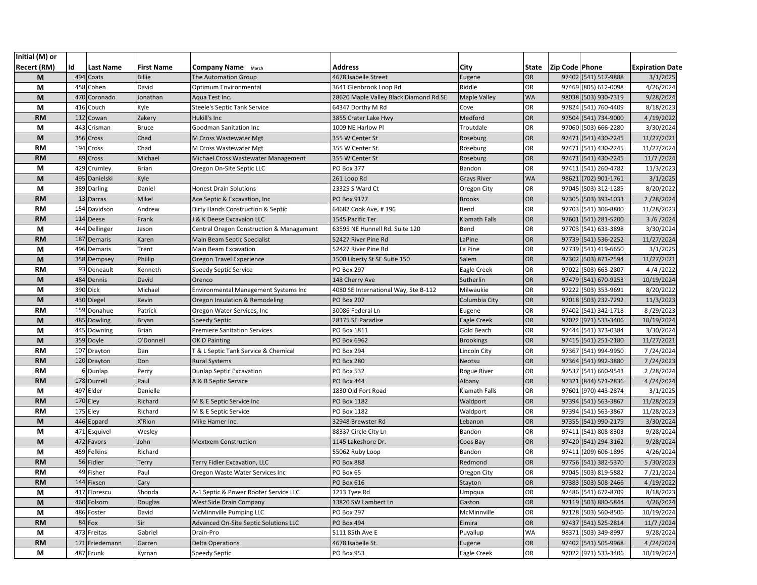| Initial (M) or     |     |                             |                   |                                                    |                                        |                       |           |                |                                              |                         |
|--------------------|-----|-----------------------------|-------------------|----------------------------------------------------|----------------------------------------|-----------------------|-----------|----------------|----------------------------------------------|-------------------------|
| <b>Recert (RM)</b> | Id  | Last Name                   | <b>First Name</b> | <b>Company Name</b> March                          | Address                                | City                  | State     | Zip Code Phone |                                              | <b>Expiration Date</b>  |
| M                  |     | 494 Coats                   | <b>Billie</b>     | <b>The Automation Group</b>                        | 4678 Isabelle Street                   | Eugene                | <b>OR</b> |                | 97402 (541) 517-9888                         | 3/1/2025                |
| M                  | 458 | Cohen                       | David             | Optimum Environmental                              | 3641 Glenbrook Loop Rd                 | Riddle                | OR        |                | 97469 (805) 612-0098                         | 4/26/2024               |
| M                  | 470 | Coronado                    | Jonathan          | Aqua Test Inc.                                     | 28620 Maple Valley Black Diamond Rd SE | <b>Maple Valley</b>   | <b>WA</b> |                | 98038 (503) 930-7319                         | 9/28/2024               |
| М                  | 416 | Couch                       | Kyle              | Steele's Septic Tank Service                       | 64347 Dorthy M Rd                      | Cove                  | OR        |                | 97824 (541) 760-4409                         | 8/18/2023               |
| <b>RM</b>          | 112 | Cowan                       | Zakery            | Hukill's Inc                                       | 3855 Crater Lake Hwy                   | Medford               | <b>OR</b> |                | 97504 (541) 734-9000                         | 4/19/2022               |
| М                  | 443 | Crisman                     | <b>Bruce</b>      | Goodman Sanitation Inc                             | 1009 NE Harlow Pl                      | Troutdale             | OR        | 97060          | (503) 666-2280                               | 3/30/2024               |
| M                  | 356 | Cross                       | Chad              | M Cross Wastewater Mgt                             | 355 W Center St                        | Roseburg              | <b>OR</b> |                | 97471 (541) 430-2245                         | 11/27/2021              |
| <b>RM</b>          |     | 194 Cross                   | Chad              | M Cross Wastewater Mgt                             | 355 W Center St.                       | Roseburg              | OR        |                | 97471 (541) 430-2245                         | 11/27/2024              |
| <b>RM</b>          |     | 89 Cross                    | Michael           | Michael Cross Wastewater Management                | 355 W Center St                        | Roseburg              | <b>OR</b> |                | 97471 (541) 430-2245                         | 11/7 / 2024             |
| М                  |     | 429 Crumley                 | <b>Brian</b>      | Oregon On-Site Septic LLC                          | PO Box 377                             | Bandon                | OR        |                | 97411 (541) 260-4782                         | 11/3/2023               |
| M                  | 495 | Danielski                   | Kyle              |                                                    | 261 Loop Rd                            | <b>Grays River</b>    | <b>WA</b> |                | 98621 (702) 901-1761                         | 3/1/2025                |
| М                  |     | 389 Darling                 | Daniel            | <b>Honest Drain Solutions</b>                      | 23325 S Ward Ct                        | Oregon City           | OR        |                | 97045 (503) 312-1285                         | 8/20/2022               |
| <b>RM</b>          |     | 13 Darras                   | Mikel             | Ace Septic & Excavation, Inc                       | PO Box 9177                            | <b>Brooks</b>         | <b>OR</b> |                | 97305 (503) 393-1033                         | 2/28/2024               |
| <b>RM</b>          |     | 154 Davidson                | Andrew            | Dirty Hands Construction & Septic                  | 64682 Cook Ave, #196                   | Bend                  | OR        |                | 97703 (541) 306-8800                         | 11/28/2023              |
| <b>RM</b>          | 114 | Deese                       | Frank             | <b>J &amp; K Deese Excavaion LLC</b>               | 1545 Pacific Ter                       | Klamath Falls         | <b>OR</b> |                | 97601 (541) 281-5200                         | 3/6/2024                |
| М                  | 444 | Dellinger                   | Jason             | Central Oregon Construction & Management           | 63595 NE Hunnell Rd. Suite 120         | Bend                  | OR        |                | 97703 (541) 633-3898                         | 3/30/2024               |
| <b>RM</b>          |     | 187 Demaris                 | Karen             | Main Beam Septic Specialist                        | 52427 River Pine Rd                    | LaPine                | OR        |                | 97739 (541) 536-2252                         | 11/27/2024              |
| М                  |     | 496 Demaris                 | Trent             | Main Beam Excavation                               | 52427 River Pine Rd                    | La Pine               | OR        |                | 97739 (541) 419-6650                         | 3/1/2025                |
| M                  |     | 358 Dempsey                 | Phillip           | Oregon Travel Experience                           | 1500 Liberty St SE Suite 150           | Salem                 | <b>OR</b> |                | 97302 (503) 871-2594                         | 11/27/2021              |
| RM                 | 93  | Deneault                    | Kenneth           | Speedy Septic Service                              | PO Box 297                             | Eagle Creek           | OR        | 97022          | (503) 663-2807                               | 4/4/2022                |
| M                  |     | 484 Dennis                  | David             | Orenco                                             | 148 Cherry Ave                         | Sutherlin             | OR        |                | 97479 (541) 670-9253                         | 10/19/2024              |
| М                  |     | 390 Dick                    | Michael           | Environmental Management Systems Inc               | 4080 SE International Way, Ste B-112   | Milwaukie             | OR        |                | 97222 (503) 353-9691                         | 8/20/2022               |
| M                  |     | 430 Diegel                  | Kevin             | Oregon Insulation & Remodeling                     | <b>PO Box 207</b>                      | Columbia City         | OR        |                | 97018 (503) 232-7292                         | 11/3/2023               |
| <b>RM</b>          | 159 | Donahue                     | Patrick           | Oregon Water Services, Inc                         | 30086 Federal Ln                       | Eugene                | OR        |                | 97402 (541) 342-1718                         | 8/29/2023               |
| M                  |     | 485 Dowling                 | <b>Bryan</b>      | Speedy Septic                                      | 28375 SE Paradise                      | Eagle Creek           | OR        |                | 97022 (971) 533-3406                         | 10/19/2024              |
| M                  |     | 445 Downing                 | <b>Brian</b>      | <b>Premiere Sanitation Services</b>                | PO Box 1811                            | Gold Beach            | OR        |                | 97444 (541) 373-0384                         | 3/30/2024               |
| M                  |     | 359 Doyle                   | O'Donnell         | OK D Painting                                      | PO Box 6962                            | <b>Brookings</b>      | OR        |                | 97415 (541) 251-2180                         | 11/27/2021              |
| RM                 |     | 107 Drayton                 | Dan               | T & L Septic Tank Service & Chemical               | PO Box 294                             | Lincoln City          | OR        | 97367          | (541) 994-9950                               | 7/24/2024               |
| <b>RM</b>          |     | 120 Drayton                 | Don               | <b>Rural Systems</b>                               | <b>PO Box 280</b>                      | Neotsu                | OR        |                | 97364 (541) 992-3880                         | 7/24/2023               |
| RM                 |     | 6 Dunlap                    | Perry             | Dunlap Septic Excavation                           | PO Box 532                             | Rogue River           | OR        |                | 97537 (541) 660-9543                         | 2/28/2024               |
| <b>RM</b>          |     | 178 Durrell                 | Paul              | A & B Septic Service                               | <b>PO Box 444</b>                      | Albany                | <b>OR</b> |                | 97321 (844) 571-2836                         | 4/24/2024               |
| М                  |     | 497 Elder                   | Danielle          |                                                    | 1830 Old Fort Road                     | Klamath Falls         | OR        |                | 97601 (970) 443-2874                         | 3/1/2025                |
| <b>RM</b>          |     | 170 Eley                    | Richard           | M & E Septic Service Inc                           | PO Box 1182                            | Waldport              | OR        |                | 97394 (541) 563-3867                         | 11/28/2023              |
| <b>RM</b>          |     | 175 Eley                    | Richard           | M & E Septic Service                               | PO Box 1182                            | Waldport              | OR        |                | 97394 (541) 563-3867                         | 11/28/2023              |
| M                  |     | 446 Eppard                  | X'Rion            | Mike Hamer Inc.                                    | 32948 Brewster Rd                      | Lebanon               | <b>OR</b> |                | 97355 (541) 990-2179                         | 3/30/2024               |
| М                  |     | 471 Esquivel                | Wesley            |                                                    | 88337 Circle City Ln                   | Bandon                | OR        | 97411          | (541) 808-8303                               | 9/28/2024               |
| M                  | 472 | Favors                      | John              | <b>Mextxem Construction</b>                        | 1145 Lakeshore Dr.                     | Coos Bay              | <b>OR</b> |                | 97420 (541) 294-3162                         | 9/28/2024               |
| М                  |     | 459 Felkins                 | Richard           |                                                    | 55062 Ruby Loop                        | Bandon                | OR        |                | 97411 (209) 606-1896                         | 4/26/2024               |
| <b>RM</b>          |     | 56 Fidler                   | Terry             | Terry Fidler Excavation, LLC                       | <b>PO Box 888</b>                      | Redmond               | <b>OR</b> |                | 97756 (541) 382-5370                         | 5/30/2023               |
| RM                 |     | 49 Fisher                   | Paul              | Oregon Waste Water Services Inc                    | PO Box 65                              | Oregon City           | OR        |                | 97045 (503) 819-5882                         | 7/21/2024               |
| <b>RM</b>          |     | 144 Fixsen                  | Cary              |                                                    | PO Box 616                             | Stayton               | OR<br>OR  |                | 97383 (503) 508-2466                         | 4/19/2022               |
| М                  |     | 417 Florescu                | Shonda            | A-1 Septic & Power Rooter Service LLC              | 1213 Tyee Rd                           | Umpqua                | OR        |                | 97486 (541) 672-8709                         | 8/18/2023               |
| M<br>М             |     | 460 Folsom                  | Douglas<br>David  | West Side Drain Company<br>McMinnville Pumping LLC | 13820 SW Lambert Ln                    | Gaston                | OR        |                | 97119 (503) 880-5844<br>97128 (503) 560-8506 | 4/26/2024<br>10/19/2024 |
|                    |     | 486 Foster                  |                   |                                                    | PO Box 297                             | McMinnville           |           |                |                                              |                         |
| <b>RM</b>          |     | 84 Fox                      | Sir               | Advanced On-Site Septic Solutions LLC<br>Drain-Pro | PO Box 494                             | Elmira                | OR        |                | 97437 (541) 525-2814<br>98371 (503) 349-8997 | 11/7 / 2024             |
| М<br><b>RM</b>     |     | 473 Freitas                 | Gabriel           |                                                    | 5111 85th Ave E                        | Puyallup              | <b>WA</b> |                |                                              | 9/28/2024               |
| M                  |     | 171 Friedemann<br>487 Frunk | Garren            | <b>Delta Operations</b><br>Speedy Septic           | 4678 Isabelle St.<br>PO Box 953        | Eugene<br>Eagle Creek | OR<br>OR  |                | 97402 (541) 505-9968<br>97022 (971) 533-3406 | 4/24/2024<br>10/19/2024 |
|                    |     |                             | Kyrnan            |                                                    |                                        |                       |           |                |                                              |                         |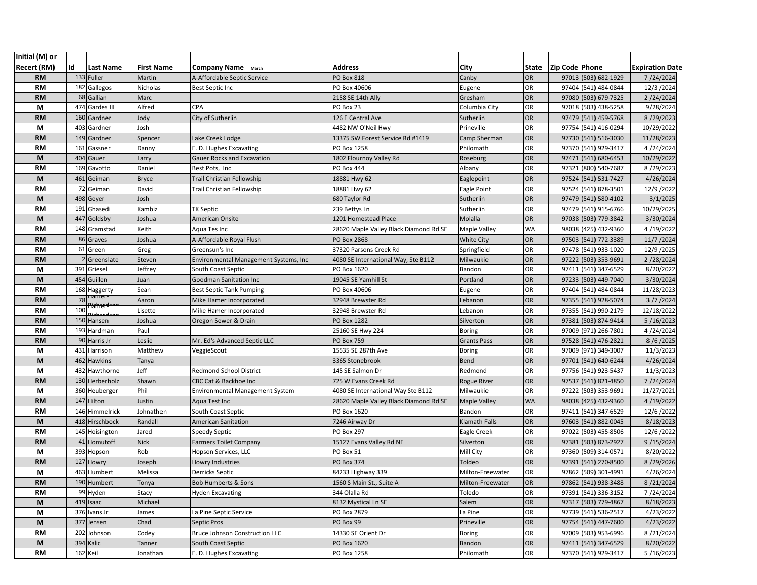| Initial (M) or |     |                   |                   |                                        |                                        |                     |              |                |                      |                        |
|----------------|-----|-------------------|-------------------|----------------------------------------|----------------------------------------|---------------------|--------------|----------------|----------------------|------------------------|
| Recert (RM)    | Id  | <b>Last Name</b>  | <b>First Name</b> | <b>Company Name</b> March              | <b>Address</b>                         | City                | <b>State</b> | Zip Code Phone |                      | <b>Expiration Date</b> |
| <b>RM</b>      |     | 133 Fuller        | Martin            | A-Affordable Septic Service            | <b>PO Box 818</b>                      | Canby               | OR           |                | 97013 (503) 682-1929 | 7/24/2024              |
| <b>RM</b>      | 182 | Gallegos          | Nicholas          | <b>Best Septic Inc</b>                 | PO Box 40606                           | Eugene              | OR           |                | 97404 (541) 484-0844 | 12/3/2024              |
| <b>RM</b>      | 68  | Gallian           | Marc              |                                        | 2158 SE 14th Ally                      | Gresham             | OR           |                | 97080 (503) 679-7325 | 2/24/2024              |
| M              | 474 | Gardes III        | Alfred            | CPA                                    | PO Box 23                              | Columbia City       | OR           |                | 97018 (503) 438-5258 | 9/28/2024              |
| <b>RM</b>      |     | 160 Gardner       | Jody              | City of Sutherlin                      | 126 E Central Ave                      | Sutherlin           | OR           |                | 97479 (541) 459-5768 | 8/29/2023              |
| М              | 403 | Gardner           | Josh              |                                        | 4482 NW O'Neil Hwy                     | Prineville          | OR           |                | 97754 (541) 416-0294 | 10/29/2022             |
| <b>RM</b>      |     | 149 Gardner       | Spencer           | Lake Creek Lodge                       | 13375 SW Forest Service Rd #1419       | Camp Sherman        | OR           |                | 97730 (541) 516-3030 | 11/28/2023             |
| <b>RM</b>      | 161 | Gassner           | Danny             | E. D. Hughes Excavating                | PO Box 1258                            | Philomath           | OR           |                | 97370 (541) 929-3417 | 4/24/2024              |
| M              | 404 | Gauer             | Larry             | Gauer Rocks and Excavation             | 1802 Flournoy Valley Rd                | Roseburg            | OR           |                | 97471 (541) 680-6453 | 10/29/2022             |
| <b>RM</b>      | 169 | Gavotto           | Daniel            | Best Pots, Inc                         | <b>PO Box 444</b>                      | Albany              | OR           |                | 97321 (800) 540-7687 | 8/29/2023              |
| M              | 461 | Geiman            | <b>Bryce</b>      | Trail Christian Fellowship             | 18881 Hwy 62                           | Eaglepoint          | <b>OR</b>    |                | 97524 (541) 531-7427 | 4/26/2024              |
| <b>RM</b>      |     | 72 Geiman         | David             | Trail Christian Fellowship             | 18881 Hwy 62                           | Eagle Point         | OR           |                | 97524 (541) 878-3501 | 12/9 / 2022            |
| M              |     | 498 Geyer         | Josh              |                                        | 680 Taylor Rd                          | Sutherlin           | <b>OR</b>    |                | 97479 (541) 580-4102 | 3/1/2025               |
| <b>RM</b>      | 191 | Ghasedi           | Kambiz            | <b>TK Septic</b>                       | 239 Bettys Ln                          | Sutherlin           | OR           |                | 97479 (541) 915-6766 | 10/29/2025             |
| M              | 447 | Goldsby           | Joshua            | American Onsite                        | 1201 Homestead Place                   | Molalla             | <b>OR</b>    |                | 97038 (503) 779-3842 | 3/30/2024              |
| <b>RM</b>      |     | 148 Gramstad      | Keith             | Aqua Tes Inc                           | 28620 Maple Valley Black Diamond Rd SE | Maple Valley        | <b>WA</b>    |                | 98038 (425) 432-9360 | 4/19/2022              |
| <b>RM</b>      |     | 86 Graves         | Joshua            | A-Affordable Royal Flush               | PO Box 2868                            | <b>White City</b>   | OR           |                | 97503 (541) 772-3389 | 11/7 / 2024            |
| RM             |     | 61 Green          | Greg              | Greensun's Inc                         | 37320 Parsons Creek Rd                 | Springfield         | OR           |                | 97478 (541) 933-1020 | 12/9 / 2025            |
| <b>RM</b>      |     | Greenslate        | Steven            | Environmental Management Systems, Inc  | 4080 SE International Way, Ste B112    | Milwaukie           | OR           |                | 97222 (503) 353-9691 | 2/28/2024              |
| М              |     | 391 Griesel       | Jeffrey           | South Coast Septic                     | PO Box 1620                            | Bandon              | OR           |                | 97411 (541) 347-6529 | 8/20/2022              |
| M              |     | 454 Guillen       | Juan              | <b>Goodman Sanitation Inc</b>          | 19045 SE Yamhill St                    | Portland            | <b>OR</b>    |                | 97233 (503) 449-7040 | 3/30/2024              |
| <b>RM</b>      |     | 168 Haggerty      | Sean              | <b>Best Septic Tank Pumping</b>        | PO Box 40606                           | Eugene              | OR           |                | 97404 (541) 484-0844 | 11/28/2023             |
| <b>RM</b>      | 78  | -amer             | Aaron             | Mike Hamer Incorporated                | 32948 Brewster Rd                      | Lebanon             | OR           |                | 97355 (541) 928-5074 | 3/7/2024               |
| RM             | 100 | <del>hamer-</del> | Lisette           | Mike Hamer Incorporated                | 32948 Brewster Rd                      | Lebanon             | OR           |                | 97355 (541) 990-2179 | 12/18/2022             |
| <b>RM</b>      |     | 150 Hansen        | Joshua            | Oregon Sewer & Drain                   | PO Box 1282                            | Silverton           | OR           |                | 97381 (503) 874-9414 | 5/16/2023              |
| <b>RM</b>      | 193 | Hardman           | Paul              |                                        | 25160 SE Hwy 224                       | <b>Boring</b>       | OR           |                | 97009 (971) 266-7801 | 4/24/2024              |
| <b>RM</b>      |     | 90 Harris Jr      | Leslie            | Mr. Ed's Advanced Septic LLC           | <b>PO Box 759</b>                      | <b>Grants Pass</b>  | OR           |                | 97528 (541) 476-2821 | 8/6/2025               |
| М              | 431 | Harrison          | Matthew           | VeggieScout                            | 15535 SE 287th Ave                     | <b>Boring</b>       | OR           |                | 97009 (971) 349-3007 | 11/3/2023              |
| M              | 462 | <b>Hawkins</b>    | Tanya             |                                        | 3365 Stonebrook                        | Bend                | OR           |                | 97701 (541) 640-6244 | 4/26/2024              |
| М              | 432 | Hawthorne         | Jeff              | <b>Redmond School District</b>         | 145 SE Salmon Dr                       | Redmond             | OR           |                | 97756 (541) 923-5437 | 11/3/2023              |
| <b>RM</b>      |     | 130 Herberholz    | Shawn             | CBC Cat & Backhoe Inc                  | 725 W Evans Creek Rd                   | <b>Rogue River</b>  | OR           |                | 97537 (541) 821-4850 | 7/24/2024              |
| М              | 360 | Heuberger         | Phil              | <b>Environmental Management System</b> | 4080 SE International Way Ste B112     | Milwaukie           | OR           |                | 97222 (503) 353-9691 | 11/27/2021             |
| <b>RM</b>      |     | 147 Hilton        | Justin            | Aqua Test Inc                          | 28620 Maple Valley Black Diamond Rd SE | <b>Maple Valley</b> | <b>WA</b>    |                | 98038 (425) 432-9360 | 4/19/2022              |
| RM             |     | 146 Himmelrick    | Johnathen         | South Coast Septic                     | PO Box 1620                            | Bandon              | OR           |                | 97411 (541) 347-6529 | 12/6/2022              |
| M              |     | 418 Hirschbock    | Randall           | American Sanitation                    | 7246 Airway Dr                         | Klamath Falls       | OR           |                | 97603 (541) 882-0045 | 8/18/2023              |
| <b>RM</b>      |     | 145 Hoisington    | Jared             | <b>Speedy Septic</b>                   | PO Box 297                             | Eagle Creek         | OR           |                | 97022 (503) 455-8506 | 12/6/2022              |
| <b>RM</b>      | 41  | Homutoff          | <b>Nick</b>       | <b>Farmers Toilet Company</b>          | 15127 Evans Valley Rd NE               | Silverton           | OR           |                | 97381 (503) 873-2927 | 9/15/2024              |
| M              | 393 | Hopson            | Rob               | Hopson Services, LLC                   | PO Box 51                              | Mill City           | OR           |                | 97360 (509) 314-0571 | 8/20/2022              |
| <b>RM</b>      | 127 | Howry             | Joseph            | Howry Industries                       | PO Box 374                             | Toldeo              | <b>OR</b>    |                | 97391 (541) 270-8500 | 8/29/2026              |
| М              |     | 463 Humbert       | Melissa           | Derricks Septic                        | 84233 Highway 339                      | Milton-Freewater    | OR           |                | 97862 (509) 301-4991 | 4/26/2024              |
| <b>RM</b>      |     | 190 Humbert       | Tonya             | <b>Bob Humberts &amp; Sons</b>         | 1560 S Main St., Suite A               | Milton-Freewater    | OR           |                | 97862 (541) 938-3488 | 8/21/2024              |
| RM             |     | 99 Hyden          | Stacy             | <b>Hyden Excavating</b>                | 344 Olalla Rd                          | Toledo              | OR           |                | 97391 (541) 336-3152 | 7/24/2024              |
| M              |     | 419 Isaac         | Michael           |                                        | 8132 Mystical Ln SE                    | Salem               | OR           |                | 97317 (503) 779-4867 | 8/18/2023              |
| M              |     | 376 Ivans Jr      | James             | La Pine Septic Service                 | PO Box 2879                            | La Pine             | OR           |                | 97739 (541) 536-2517 | 4/23/2022              |
| M              |     | 377 Jensen        | Chad              | Septic Pros                            | PO Box 99                              | Prineville          | OR           |                | 97754 (541) 447-7600 | 4/23/2022              |
| RM             |     | 202 Johnson       | Codey             | <b>Bruce Johnson Construction LLC</b>  | 14330 SE Orient Dr                     | Boring              | OR           |                | 97009 (503) 953-6996 | 8/21/2024              |
| M              |     | 394 Kalic         | Tanner            | South Coast Septic                     | PO Box 1620                            | Bandon              | OR           |                | 97411 (541) 347-6529 | 8/20/2022              |
| RM             |     | 162 Keil          | Jonathan          | E. D. Hughes Excavating                | PO Box 1258                            | Philomath           | OR           |                | 97370 (541) 929-3417 | 5/16/2023              |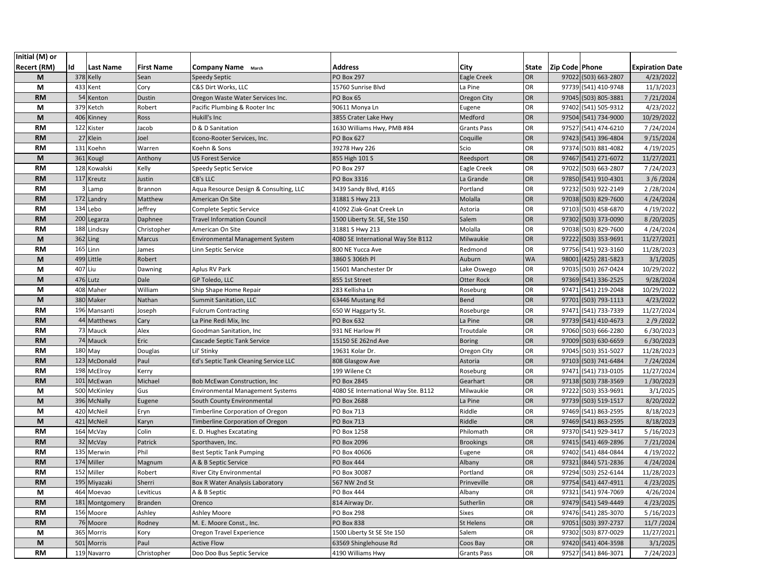| Initial (M) or     |         |                  |                   |                                         |                                     |                    |           |                  |                      |                        |
|--------------------|---------|------------------|-------------------|-----------------------------------------|-------------------------------------|--------------------|-----------|------------------|----------------------|------------------------|
| <b>Recert (RM)</b> | Id      | <b>Last Name</b> | <b>First Name</b> | <b>Company Name</b> March               | Address                             | City               | State     | Zip Code   Phone |                      | <b>Expiration Date</b> |
| M                  |         | 378 Kelly        | Sean              | <b>Speedy Septic</b>                    | <b>PO Box 297</b>                   | Eagle Creek        | OR        |                  | 97022 (503) 663-2807 | 4/23/2022              |
| M                  |         | 433 Kent         | Cory              | C&S Dirt Works, LLC                     | 15760 Sunrise Blvd                  | La Pine            | OR        |                  | 97739 (541) 410-9748 | 11/3/2023              |
| <b>RM</b>          |         | 54 Kenton        | Dustin            | Oregon Waste Water Services Inc.        | PO Box 65                           | Oregon City        | OR        |                  | 97045 (503) 805-3881 | 7/21/2024              |
| М                  |         | 379 Ketch        | Robert            | Pacific Plumbing & Rooter Inc           | 90611 Monya Ln                      | Eugene             | OR        |                  | 97402 (541) 505-9312 | 4/23/2022              |
| M                  |         | 406 Kinney       | Ross              | Hukill's Inc                            | 3855 Crater Lake Hwy                | Medford            | OR        |                  | 97504 (541) 734-9000 | 10/29/2022             |
| <b>RM</b>          |         | 122 Kister       | Jacob             | D & D Sanitation                        | 1630 Williams Hwy, PMB #84          | <b>Grants Pass</b> | OR        |                  | 97527 (541) 474-6210 | 7/24/2024              |
| <b>RM</b>          |         | 27 Klein         | Joel              | Econo-Rooter Services, Inc.             | PO Box 627                          | Coquille           | OR        |                  | 97423 (541) 396-4804 | 9/15/2024              |
| <b>RM</b>          |         | 131 Koehn        | Warren            | Koehn & Sons                            | 39278 Hwy 226                       | Scio               | OR        |                  | 97374 (503) 881-4082 | 4/19/2025              |
| M                  |         | 361 Kougl        | Anthony           | <b>US Forest Service</b>                | 855 High 101 S                      | Reedsport          | OR        |                  | 97467 (541) 271-6072 | 11/27/2021             |
| <b>RM</b>          |         | 128 Kowalski     | Kelly             | <b>Speedy Septic Service</b>            | PO Box 297                          | Eagle Creek        | OR        |                  | 97022 (503) 663-2807 | 7/24/2023              |
| <b>RM</b>          |         | 117 Kreutz       | Justin            | <b>CB's LLC</b>                         | PO Box 3316                         | La Grande          | OR        |                  | 97850 (541) 910-4301 | 3/6/2024               |
| RM                 |         | 3 Lamp           | Brannon           | Aqua Resource Design & Consulting, LLC  | 3439 Sandy Blvd, #165               | Portland           | OR        |                  | 97232 (503) 922-2149 | 2/28/2024              |
| <b>RM</b>          |         | 172 Landry       | Matthew           | American On Site                        | 31881 S Hwy 213                     | Molalla            | OR        |                  | 97038 (503) 829-7600 | 4/24/2024              |
| <b>RM</b>          |         | 134 Lebo         | Jeffrey           | Complete Septic Service                 | 41092 Ziak-Gnat Creek Ln            | Astoria            | OR        |                  | 97103 (503) 458-6870 | 4/19/2022              |
| <b>RM</b>          |         | 200 Legarza      | Daphnee           | <b>Travel Information Council</b>       | 1500 Liberty St. SE, Ste 150        | Salem              | OR        |                  | 97302 (503) 373-0090 | 8/20/2025              |
| <b>RM</b>          |         | 188 Lindsay      | Christopher       | American On Site                        | 31881 S Hwy 213                     | Molalla            | OR        |                  | 97038 (503) 829-7600 | 4/24/2024              |
| M                  |         | 362 Ling         | Marcus            | <b>Environmental Management System</b>  | 4080 SE International Way Ste B112  | Milwaukie          | OR        |                  | 97222 (503) 353-9691 | 11/27/2021             |
| <b>RM</b>          |         | 165 Linn         | James             | Linn Septic Service                     | 800 NE Yucca Ave                    | Redmond            | OR        |                  | 97756 (541) 923-3160 | 11/28/2023             |
| M                  |         | 499 Little       | Robert            |                                         | 3860 S 306th Pl                     | Auburn             | <b>WA</b> |                  | 98001 (425) 281-5823 | 3/1/2025               |
| M                  | 407 Liu |                  | Dawning           | Aplus RV Park                           | 15601 Manchester Dr                 | Lake Oswego        | OR        |                  | 97035 (503) 267-0424 | 10/29/2022             |
| M                  |         | 476 Lutz         | Dale              | GP Toledo, LLC                          | 855 1st Street                      | <b>Otter Rock</b>  | OR        |                  | 97369 (541) 336-2525 | 9/28/2024              |
| М                  |         | 408 Maher        | William           | Ship Shape Home Repair                  | 283 Kellisha Ln                     | Roseburg           | OR        |                  | 97471 (541) 219-2048 | 10/29/2022             |
| M                  |         | 380 Maker        | Nathan            | Summit Sanitation, LLC                  | 63446 Mustang Rd                    | <b>Bend</b>        | OR        |                  | 97701 (503) 793-1113 | 4/23/2022              |
| <b>RM</b>          |         | 196 Mansanti     | Joseph            | <b>Fulcrum Contracting</b>              | 650 W Haggarty St.                  | Roseburge          | OR        | 97471            | (541) 733-7339       | 11/27/2024             |
| <b>RM</b>          |         | 44 Matthews      | Cary              | La Pine Redi Mix, Inc                   | PO Box 632                          | La Pine            | OR        |                  | 97739 (541) 410-4673 | 2/9/2022               |
| <b>RM</b>          |         | 73 Mauck         | Alex              | Goodman Sanitation, Inc.                | 931 NE Harlow Pl                    | Troutdale          | OR        |                  | 97060 (503) 666-2280 | 6/30/2023              |
| <b>RM</b>          |         | 74 Mauck         | Eric              | Cascade Septic Tank Service             | 15150 SE 262nd Ave                  | <b>Boring</b>      | OR        |                  | 97009 (503) 630-6659 | 6/30/2023              |
| <b>RM</b>          |         | 180 May          | Douglas           | Lil' Stinky                             | 19631 Kolar Dr.                     | Oregon City        | OR        |                  | 97045 (503) 351-5027 | 11/28/2023             |
| <b>RM</b>          |         | 123 McDonald     | Paul              | Ed's Septic Tank Cleaning Service LLC   | 808 Glasgow Ave                     | Astoria            | OR        |                  | 97103 (503) 741-6484 | 7/24/2024              |
| <b>RM</b>          |         | 198 McElroy      | Kerry             |                                         | 199 Wilene Ct                       | Roseburg           | OR        |                  | 97471 (541) 733-0105 | 11/27/2024             |
| <b>RM</b>          |         | 101 McEwan       | Michael           | <b>Bob McEwan Construction, Inc.</b>    | PO Box 2845                         | Gearhart           | OR        |                  | 97138 (503) 738-3569 | 1/30/2023              |
| М                  |         | 500 McKinley     | Gus               | <b>Environmental Management Systems</b> | 4080 SE International Way Ste. B112 | Milwaukie          | OR        |                  | 97222 (503) 353-9691 | 3/1/2025               |
| M                  |         | 396 McNally      | Eugene            | South County Environmental              | PO Box 2688                         | La Pine            | OR        |                  | 97739 (503) 519-1517 | 8/20/2022              |
| М                  |         | 420 McNeil       | Eryn              | Timberline Corporation of Oregon        | PO Box 713                          | Riddle             | OR        |                  | 97469 (541) 863-2595 | 8/18/2023              |
| M                  |         | 421 McNeil       | Karyn             | Timberline Corporation of Oregon        | PO Box 713                          | Riddle             | OR        |                  | 97469 (541) 863-2595 | 8/18/2023              |
| <b>RM</b>          |         | 164 McVay        | Colin             | E. D. Hughes Excatating                 | PO Box 1258                         | Philomath          | OR        |                  | 97370 (541) 929-3417 | 5/16/2023              |
| <b>RM</b>          |         | 32 McVay         | Patrick           | Sporthaven, Inc.                        | PO Box 2096                         | <b>Brookings</b>   | OR        |                  | 97415 (541) 469-2896 | 7/21/2024              |
| RM                 |         | 135 Merwin       | Phil              | <b>Best Septic Tank Pumping</b>         | PO Box 40606                        | Eugene             | OR        |                  | 97402 (541) 484-0844 | 4/19/2022              |
| <b>RM</b>          |         | 174 Miller       | Magnum            | A & B Septic Service                    | <b>PO Box 444</b>                   | Albany             | OR        |                  | 97321 (844) 571-2836 | 4/24/2024              |
| <b>RM</b>          |         | 152 Miller       | Robert            | <b>River City Environmental</b>         | PO Box 30087                        | Portland           | OR        |                  | 97294 (503) 252-6144 | 11/28/2023             |
| <b>RM</b>          |         | 195 Miyazaki     | Sherri            | Box R Water Analysis Laboratory         | 567 NW 2nd St                       | Prinveville        | OR        |                  | 97754 (541) 447-4911 | 4/23/2025              |
| М                  |         | 464 Moevao       | Leviticus         | A & B Septic                            | PO Box 444                          | Albany             | OR        |                  | 97321 (541) 974-7069 | 4/26/2024              |
| <b>RM</b>          |         | 181 Montgomery   | <b>Branden</b>    | Orenco                                  | 814 Airway Dr.                      | Sutherlin          | OR        |                  | 97479 (541) 549-4449 | 4/23/2025              |
| RM                 |         | 156 Moore        | Ashley            | <b>Ashley Moore</b>                     | PO Box 298                          | <b>Sixes</b>       | OR        |                  | 97476 (541) 285-3070 | 5/16/2023              |
| <b>RM</b>          |         | 76 Moore         | Rodney            | M. E. Moore Const., Inc.                | <b>PO Box 838</b>                   | St Helens          | OR        |                  | 97051 (503) 397-2737 | 11/7 / 2024            |
| М                  |         | 365 Morris       | Kory              | Oregon Travel Experience                | 1500 Liberty St SE Ste 150          | Salem              | OR        |                  | 97302 (503) 877-0029 | 11/27/2021             |
| M                  |         | 501 Morris       | Paul              | <b>Active Flow</b>                      | 63569 Shinglehouse Rd               | Coos Bay           | OR        |                  | 97420 (541) 404-3598 | 3/1/2025               |
| RM                 |         | 119 Navarro      | Christopher       | Doo Doo Bus Septic Service              | 4190 Williams Hwy                   | <b>Grants Pass</b> | OR        |                  | 97527 (541) 846-3071 | 7/24/2023              |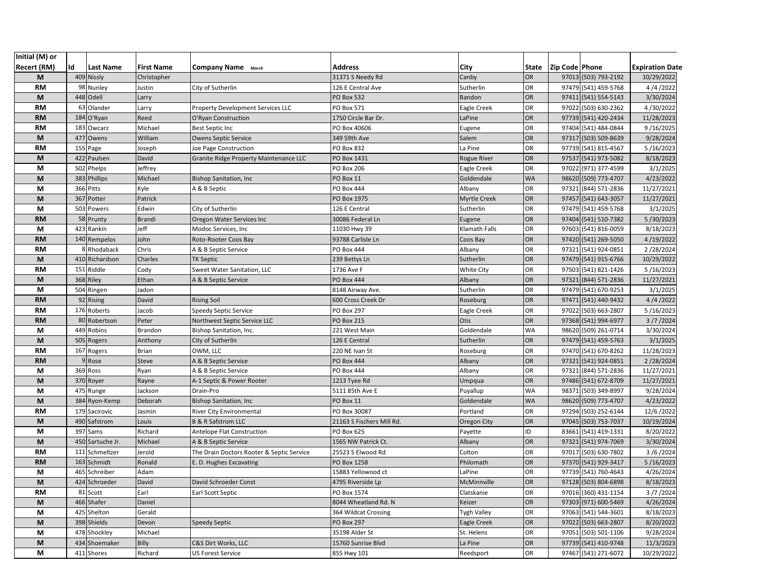| Initial (M) or     |     |                               |                   |                                               |                                          |                       |                 |                |                                              |                        |
|--------------------|-----|-------------------------------|-------------------|-----------------------------------------------|------------------------------------------|-----------------------|-----------------|----------------|----------------------------------------------|------------------------|
| <b>Recert (RM)</b> | Id  | Last Name                     | <b>First Name</b> | <b>Company Name</b> March                     | <b>Address</b>                           | City                  | State           | Zip Code Phone |                                              | <b>Expiration Date</b> |
| M                  |     | 409 Nissly                    | Christopher       |                                               | 31371 S Needy Rd                         | Canby                 | OR              |                | 97013 (503) 793-2192                         | 10/29/2022             |
| <b>RM</b>          |     | 98 Nunley                     | Justin            | City of Sutherlin                             | 126 E Central Ave                        | Sutherlin             | OR              |                | 97479 (541) 459-5768                         | 4/4/2022               |
| M                  |     | 448 Odell                     | Larry             |                                               | PO Box 532                               | Bandon                | OR              |                | 97411 (541) 554-5143                         | 3/30/2024              |
| <b>RM</b>          |     | 63 Olander                    | Larry             | Property Development Services LLC             | PO Box 571                               | Eagle Creek           | OR              |                | 97022 (503) 630-2362                         | 4/30/2022              |
| <b>RM</b>          |     | 184 O'Ryan                    | Reed              | O'Ryan Construction                           | 1750 Circle Bar Dr.                      | LaPine                | OR              |                | 97739 (541) 420-2434                         | 11/28/2023             |
| RM                 |     | 183 Owcarz                    | Michael           | Best Septic Inc                               | PO Box 40606                             | Eugene                | OR              |                | 97404 (541) 484-0844                         | 9/16/2025              |
| M                  |     | 477 Owens                     | William           | Owens Septic Service                          | 349 59th Ave                             | Salem                 | OR              |                | 97317 (503) 509-8639                         | 9/28/2024              |
| <b>RM</b>          |     | 155 Page                      | Joseph            | Joe Page Construction                         | PO Box 832                               | La Pine               | OR              |                | 97739 (541) 815-4567                         | 5/16/2023              |
| M                  |     | 422 Paulsen                   | David             | <b>Granite Ridge Property Maintenance LLC</b> | PO Box 1431                              | <b>Rogue River</b>    | OR              |                | 97537 (541) 973-5082                         | 8/18/2023              |
| М                  |     | 502 Phelps                    | Jeffrey           |                                               | PO Box 206                               | Eagle Creek           | OR              |                | 97022 (971) 377-4599                         | 3/1/2025               |
| M                  | 383 | <b>Phillips</b>               | Michael           | <b>Bishop Sanitation, Inc</b>                 | PO Box 11                                | Goldendale            | WA              |                | 98620 (509) 773-4707                         | 4/23/2022              |
| М                  |     | 366 Pitts                     | Kyle              | A & B Septic                                  | PO Box 444                               | Albany                | OR              |                | 97321 (844) 571-2836                         | 11/27/2021             |
| M                  |     | 367 Potter                    | Patrick           |                                               | PO Box 1975                              | <b>Myrtle Creek</b>   | OR              |                | 97457 (541) 643-3057                         | 11/27/2021             |
| M                  |     | 503 Powers                    | Edwin             | City of Sutherlin                             | 126 E Central                            | Sutherlin             | OR              |                | 97479 (541) 459-5768                         | 3/1/2025               |
| <b>RM</b>          |     | 58 Prunty                     | <b>Brandi</b>     | Oregon Water Services Inc                     | 30086 Federal Ln                         | Eugene                | OR              |                | 97404 (541) 510-7382                         | 5/30/2023              |
| М                  |     | 423 Rankin                    | Jeff              | Modoc Services, Inc                           | 11030 Hwy 39                             | Klamath Falls         | OR              |                | 97603 (541) 816-0059                         | 8/18/2023              |
| <b>RM</b>          |     | 140 Rempelos                  | John              | Roto-Rooter Coos Bay                          | 93788 Carlisle Ln                        | Coos Bay              | OR              |                | 97420 (541) 269-5050                         | 4/19/2022              |
| <b>RM</b>          |     | 8 Rhodaback                   | Chris             | A & B Septic Service                          | PO Box 444                               | Albany                | OR              |                | 97321 (541) 924-0851                         | 2/28/2024              |
| M                  |     | 410 Richardson                | Charles           | <b>TK Septic</b>                              | 239 Bettys Ln                            | Sutherlin             | OR              |                | 97479 (541) 915-6766                         | 10/29/2022             |
| RM                 |     | 151 Riddle                    | Cody              | Sweet Water Sanitation, LLC                   | 1736 Ave F                               | <b>White City</b>     | OR              |                | 97503 (541) 821-1426                         | 5/16/2023              |
| M                  |     | 368 Riley                     | Ethan             | A & B Septic Service                          | PO Box 444                               | Albany                | OR              |                | 97321 (844) 571-2836                         | 11/27/2021             |
| М                  |     | 504 Ringen                    | Jadon             |                                               | 8148 Airway Ave.                         | Sutherlin             | OR              |                | 97479 (541) 670-9253                         | 3/1/2025               |
| <b>RM</b>          |     | 92 Rising                     | David             | <b>Rising Soil</b>                            | 600 Cross Creek Dr                       | Roseburg              | OR              |                | 97471 (541) 440-9432                         | 4/4/2022               |
| <b>RM</b>          |     | 176 Roberts                   | Jacob             | Speedy Septic Service                         | <b>PO Box 297</b>                        | Eagle Creek           | OR              |                | 97022 (503) 663-2807                         | 5/16/2023              |
| <b>RM</b>          |     | 80 Robertson                  | Peter             | Northwest Septic Service LLC                  | PO Box 215                               | Otis                  | OR              |                | 97368 (541) 994-6977                         | 3/7/2024               |
| M                  | 449 | Robins                        | Brandon           | Bishop Sanitation, Inc.                       | 221 West Main                            | Goldendale            | <b>WA</b>       |                | 98620 (509) 261-0714                         | 3/30/2024              |
| M                  |     | 505 Rogers                    | Anthony           | City of Sutherlin                             | 126 E Central                            | Sutherlin             | OR              |                | 97479 (541) 459-5763                         | 3/1/2025               |
| <b>RM</b>          | 167 | Rogers                        | <b>Brian</b>      | OWM, LLC                                      | 220 NE Ivan St                           | Roseburg              | OR              |                | 97470 (541) 670-8262                         | 11/28/2023             |
| <b>RM</b>          |     | 9 Rose                        | Steve             | A & B Septic Service                          | PO Box 444                               | Albany                | OR              |                | 97321 (541) 924-0851                         | 2/28/2024              |
| М                  |     | 369 Ross                      | Ryan              | A & B Septic Service                          | PO Box 444                               | Albany                | OR              |                | 97321 (844) 571-2836                         | 11/27/2021             |
| M                  |     | 370 Royer                     | Rayne             | A-1 Septic & Power Rooter                     | 1213 Tyee Rd                             | Umpqua                | OR              |                | 97486 (541) 672-8709                         | 11/27/2021             |
| M                  |     | 475 Runge                     | Jackson           | Drain-Pro                                     | 5111 85th Ave E                          | Puyallup              | WA              | 98371          | (503) 349-8997                               | 9/28/2024              |
| M                  |     | 384 Ryon-Kemp                 | Deborah           | <b>Bishop Sanitation, Inc</b>                 | PO Box 11                                | Goldendale            | <b>WA</b>       |                | 98620 (509) 773-4707                         | 4/23/2022              |
| <b>RM</b>          |     | 179 Sacirovic                 | Jasmin            | River City Environmental                      | PO Box 30087                             | Portland              | OR              |                | 97294 (503) 252-6144                         | 12/6/2022              |
| M                  | 490 | Safstrom                      | Louis             | <b>B &amp; R Safstrom LLC</b>                 | 21163 S Fischers Mill Rd.                | Oregon City           | OR              |                | 97045 (503) 753-7037                         | 10/19/2024             |
| М                  |     | 397 Sams                      | Richard           | Antelope Flat Construction                    | PO Box 625                               | Payette               | ID              | 83661          | (541) 419-1331                               | 8/20/2022              |
| M                  | 450 | Sartuche Jr.                  | Michael           | A & B Septic Service                          | 1565 NW Patrick Ct.                      | Albany                | OR              |                | 97321 (541) 974-7069                         | 3/30/2024              |
| <b>RM</b>          |     | 111 Schmeltzer                | Jerold            | The Drain Doctors Rooter & Septic Service     | 25523 S Elwood Rd                        | Colton                | OR              |                | 97017 (503) 630-7802                         | 3/6/2024               |
| <b>RM</b>          | 163 | Schmidt                       | Ronald            | E. D. Hughes Excavating                       | <b>PO Box 1258</b><br>15883 Yellowood ct | Philomath             | <b>OR</b><br>OR |                | 97370 (541) 929-3417                         | 5/16/2023              |
| М                  |     | 465 Schreiber                 | Adam              |                                               |                                          | LaPine                |                 |                | 97739 (541) 760-4643                         | 4/26/2024<br>8/18/2023 |
| M                  |     | 424 Schroeder                 | David             | David Schroeder Const                         | 4795 Riverside Lp                        | McMinnville           | OR              |                | 97128 (503) 804-6898                         |                        |
| <b>RM</b>          |     | 81 Scott                      | Earl              | Earl Scott Septic                             | PO Box 1574                              | Clatskanie            | OR              |                | 97016 (360) 431-1154<br>97303 (971) 600-5469 | 3/7/2024               |
| M                  |     | 466 Shafer<br>425 Shelton     | Daniel            |                                               | 8044 Wheatland Rd. N                     | Keizer                | OR<br>OR        |                | 97063 (541) 544-3601                         | 4/26/2024<br>8/18/2023 |
| M                  |     | 398 Shields                   | Gerald            |                                               | 364 Wildcat Crossing<br>PO Box 297       | Tygh Valley           | OR              |                | 97022 (503) 663-2807                         | 8/20/2022              |
| M<br>M             |     |                               | Devon<br>Michael  | Speedy Septic                                 |                                          | Eagle Creek           | OR              |                | 97051 (503) 501-1106                         |                        |
| M                  |     | 478 Shockley<br>434 Shoemaker | Billy             | C&S Dirt Works, LLC                           | 35198 Alder St<br>15760 Sunrise Blvd     | St. Helens<br>La Pine | OR              |                | 97739 (541) 410-9748                         | 9/28/2024<br>11/3/2023 |
| M                  |     | 411 Shores                    | Richard           | US Forest Service                             | 855 Hwy 101                              | Reedsport             | OR              |                | 97467 (541) 271-6072                         | 10/29/2022             |
|                    |     |                               |                   |                                               |                                          |                       |                 |                |                                              |                        |